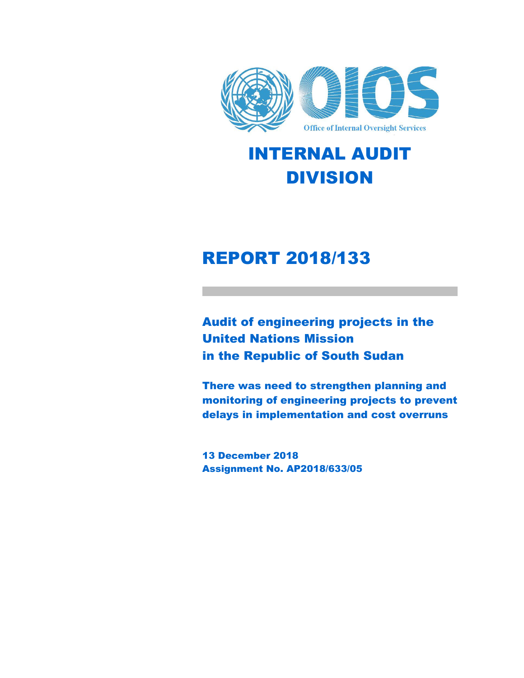

## INTERNAL AUDIT DIVISION

## REPORT 2018/133

Audit of engineering projects in the United Nations Mission in the Republic of South Sudan

There was need to strengthen planning and monitoring of engineering projects to prevent delays in implementation and cost overruns

13 December 2018 Assignment No. AP2018/633/05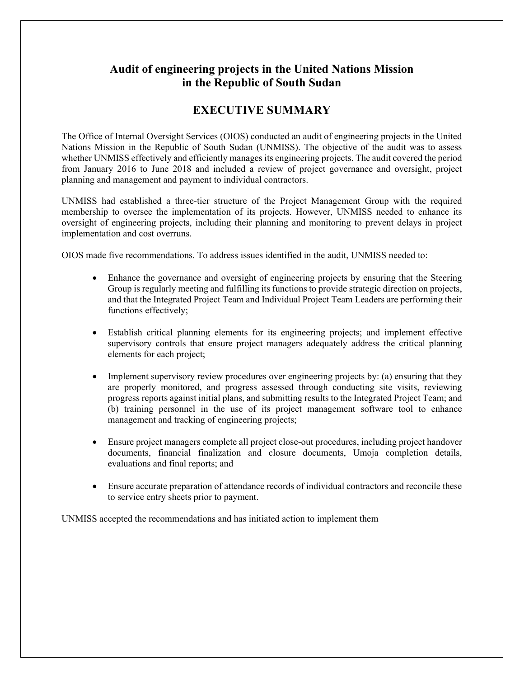## **Audit of engineering projects in the United Nations Mission in the Republic of South Sudan**

## **EXECUTIVE SUMMARY**

The Office of Internal Oversight Services (OIOS) conducted an audit of engineering projects in the United Nations Mission in the Republic of South Sudan (UNMISS). The objective of the audit was to assess whether UNMISS effectively and efficiently manages its engineering projects. The audit covered the period from January 2016 to June 2018 and included a review of project governance and oversight, project planning and management and payment to individual contractors.

UNMISS had established a three-tier structure of the Project Management Group with the required membership to oversee the implementation of its projects. However, UNMISS needed to enhance its oversight of engineering projects, including their planning and monitoring to prevent delays in project implementation and cost overruns.

OIOS made five recommendations. To address issues identified in the audit, UNMISS needed to:

- Enhance the governance and oversight of engineering projects by ensuring that the Steering Group is regularly meeting and fulfilling its functions to provide strategic direction on projects, and that the Integrated Project Team and Individual Project Team Leaders are performing their functions effectively;
- Establish critical planning elements for its engineering projects; and implement effective supervisory controls that ensure project managers adequately address the critical planning elements for each project;
- Implement supervisory review procedures over engineering projects by: (a) ensuring that they are properly monitored, and progress assessed through conducting site visits, reviewing progress reports against initial plans, and submitting results to the Integrated Project Team; and (b) training personnel in the use of its project management software tool to enhance management and tracking of engineering projects;
- Ensure project managers complete all project close-out procedures, including project handover documents, financial finalization and closure documents, Umoja completion details, evaluations and final reports; and
- Ensure accurate preparation of attendance records of individual contractors and reconcile these to service entry sheets prior to payment.

UNMISS accepted the recommendations and has initiated action to implement them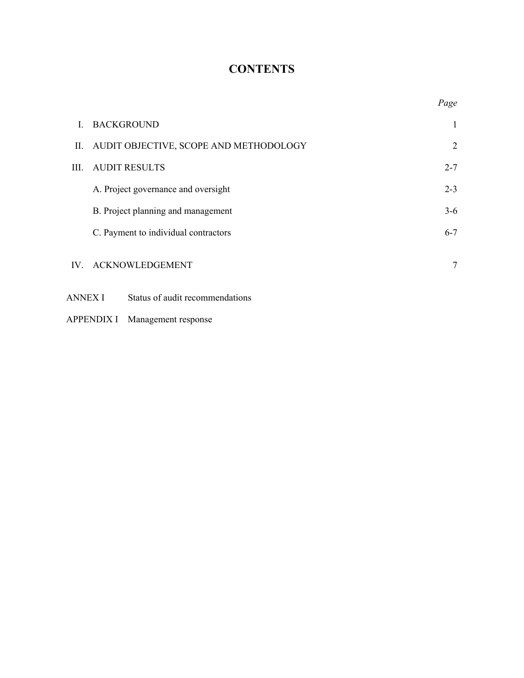## **CONTENTS**

|          |                                        | Page           |
|----------|----------------------------------------|----------------|
| L        | <b>BACKGROUND</b>                      | 1              |
| П.       | AUDIT OBJECTIVE, SCOPE AND METHODOLOGY | $\overline{2}$ |
| III.     | <b>AUDIT RESULTS</b>                   | $2 - 7$        |
|          | A. Project governance and oversight    | $2 - 3$        |
|          | B. Project planning and management     | $3-6$          |
|          | C. Payment to individual contractors   | $6 - 7$        |
| $IV_{-}$ | <b>ACKNOWLEDGEMENT</b>                 | 7              |
| ANNEX I  | Status of audit recommendations        |                |

APPENDIX I Management response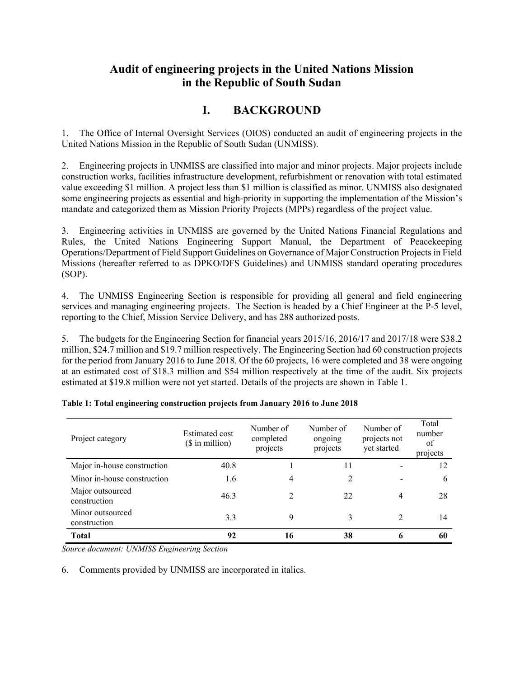## **Audit of engineering projects in the United Nations Mission in the Republic of South Sudan**

## **I. BACKGROUND**

1. The Office of Internal Oversight Services (OIOS) conducted an audit of engineering projects in the United Nations Mission in the Republic of South Sudan (UNMISS).

2. Engineering projects in UNMISS are classified into major and minor projects. Major projects include construction works, facilities infrastructure development, refurbishment or renovation with total estimated value exceeding \$1 million. A project less than \$1 million is classified as minor. UNMISS also designated some engineering projects as essential and high-priority in supporting the implementation of the Mission's mandate and categorized them as Mission Priority Projects (MPPs) regardless of the project value.

3. Engineering activities in UNMISS are governed by the United Nations Financial Regulations and Rules, the United Nations Engineering Support Manual, the Department of Peacekeeping Operations/Department of Field Support Guidelines on Governance of Major Construction Projects in Field Missions (hereafter referred to as DPKO/DFS Guidelines) and UNMISS standard operating procedures (SOP).

4. The UNMISS Engineering Section is responsible for providing all general and field engineering services and managing engineering projects. The Section is headed by a Chief Engineer at the P-5 level, reporting to the Chief, Mission Service Delivery, and has 288 authorized posts.

5. The budgets for the Engineering Section for financial years 2015/16, 2016/17 and 2017/18 were \$38.2 million, \$24.7 million and \$19.7 million respectively. The Engineering Section had 60 construction projects for the period from January 2016 to June 2018. Of the 60 projects, 16 were completed and 38 were ongoing at an estimated cost of \$18.3 million and \$54 million respectively at the time of the audit. Six projects estimated at \$19.8 million were not yet started. Details of the projects are shown in Table 1.

| Project category                 | <b>Estimated cost</b><br>$($$ in million $)$ | Number of<br>completed<br>projects | Number of<br>ongoing<br>projects | Number of<br>projects not<br>yet started | Total<br>number<br>οf<br>projects |
|----------------------------------|----------------------------------------------|------------------------------------|----------------------------------|------------------------------------------|-----------------------------------|
| Major in-house construction      | 40.8                                         |                                    | 11                               |                                          | 12                                |
| Minor in-house construction      | 1.6                                          | 4                                  | 2                                |                                          | 6                                 |
| Major outsourced<br>construction | 46.3                                         | 2                                  | 22                               | 4                                        | 28                                |
| Minor outsourced<br>construction | 3.3                                          | 9                                  |                                  | 2                                        | 14                                |
| <b>Total</b>                     | 92                                           | 16                                 | 38                               | 6                                        | 60                                |

|  |  | Table 1: Total engineering construction projects from January 2016 to June 2018 |  |  |
|--|--|---------------------------------------------------------------------------------|--|--|
|  |  |                                                                                 |  |  |
|  |  |                                                                                 |  |  |
|  |  |                                                                                 |  |  |

*Source document: UNMISS Engineering Section* 

6. Comments provided by UNMISS are incorporated in italics.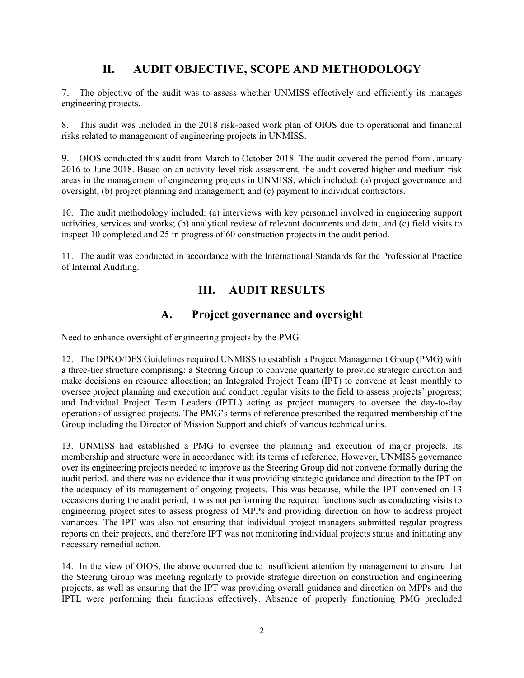## **II. AUDIT OBJECTIVE, SCOPE AND METHODOLOGY**

7. The objective of the audit was to assess whether UNMISS effectively and efficiently its manages engineering projects.

8. This audit was included in the 2018 risk-based work plan of OIOS due to operational and financial risks related to management of engineering projects in UNMISS.

9. OIOS conducted this audit from March to October 2018. The audit covered the period from January 2016 to June 2018. Based on an activity-level risk assessment, the audit covered higher and medium risk areas in the management of engineering projects in UNMISS, which included: (a) project governance and oversight; (b) project planning and management; and (c) payment to individual contractors.

10. The audit methodology included: (a) interviews with key personnel involved in engineering support activities, services and works; (b) analytical review of relevant documents and data; and (c) field visits to inspect 10 completed and 25 in progress of 60 construction projects in the audit period.

11. The audit was conducted in accordance with the International Standards for the Professional Practice of Internal Auditing.

## **III. AUDIT RESULTS**

### **A. Project governance and oversight**

Need to enhance oversight of engineering projects by the PMG

12. The DPKO/DFS Guidelines required UNMISS to establish a Project Management Group (PMG) with a three-tier structure comprising: a Steering Group to convene quarterly to provide strategic direction and make decisions on resource allocation; an Integrated Project Team (IPT) to convene at least monthly to oversee project planning and execution and conduct regular visits to the field to assess projects' progress; and Individual Project Team Leaders (IPTL) acting as project managers to oversee the day-to-day operations of assigned projects. The PMG's terms of reference prescribed the required membership of the Group including the Director of Mission Support and chiefs of various technical units.

13. UNMISS had established a PMG to oversee the planning and execution of major projects. Its membership and structure were in accordance with its terms of reference. However, UNMISS governance over its engineering projects needed to improve as the Steering Group did not convene formally during the audit period, and there was no evidence that it was providing strategic guidance and direction to the IPT on the adequacy of its management of ongoing projects. This was because, while the IPT convened on 13 occasions during the audit period, it was not performing the required functions such as conducting visits to engineering project sites to assess progress of MPPs and providing direction on how to address project variances. The IPT was also not ensuring that individual project managers submitted regular progress reports on their projects, and therefore IPT was not monitoring individual projects status and initiating any necessary remedial action.

14. In the view of OIOS, the above occurred due to insufficient attention by management to ensure that the Steering Group was meeting regularly to provide strategic direction on construction and engineering projects, as well as ensuring that the IPT was providing overall guidance and direction on MPPs and the IPTL were performing their functions effectively. Absence of properly functioning PMG precluded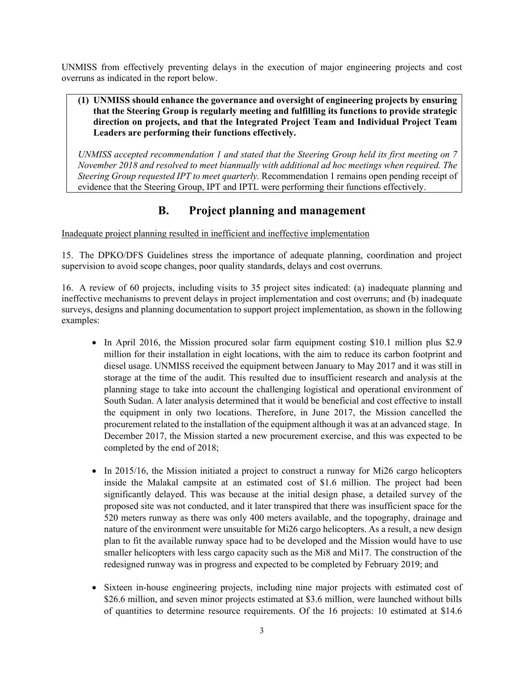UNMISS from effectively preventing delays in the execution of major engineering projects and cost overruns as indicated in the report below.

#### **(1) UNMISS should enhance the governance and oversight of engineering projects by ensuring that the Steering Group is regularly meeting and fulfilling its functions to provide strategic direction on projects, and that the Integrated Project Team and Individual Project Team Leaders are performing their functions effectively.**

*UNMISS accepted recommendation 1 and stated that the Steering Group held its first meeting on 7 November 2018 and resolved to meet biannually with additional ad hoc meetings when required. The Steering Group requested IPT to meet quarterly.* Recommendation 1 remains open pending receipt of evidence that the Steering Group, IPT and IPTL were performing their functions effectively.

## **B. Project planning and management**

Inadequate project planning resulted in inefficient and ineffective implementation

15. The DPKO/DFS Guidelines stress the importance of adequate planning, coordination and project supervision to avoid scope changes, poor quality standards, delays and cost overruns.

16. A review of 60 projects, including visits to 35 project sites indicated: (a) inadequate planning and ineffective mechanisms to prevent delays in project implementation and cost overruns; and (b) inadequate surveys, designs and planning documentation to support project implementation, as shown in the following examples:

- In April 2016, the Mission procured solar farm equipment costing \$10.1 million plus \$2.9 million for their installation in eight locations, with the aim to reduce its carbon footprint and diesel usage. UNMISS received the equipment between January to May 2017 and it was still in storage at the time of the audit. This resulted due to insufficient research and analysis at the planning stage to take into account the challenging logistical and operational environment of South Sudan. A later analysis determined that it would be beneficial and cost effective to install the equipment in only two locations. Therefore, in June 2017, the Mission cancelled the procurement related to the installation of the equipment although it was at an advanced stage. In December 2017, the Mission started a new procurement exercise, and this was expected to be completed by the end of 2018;
- In 2015/16, the Mission initiated a project to construct a runway for Mi26 cargo helicopters inside the Malakal campsite at an estimated cost of \$1.6 million. The project had been significantly delayed. This was because at the initial design phase, a detailed survey of the proposed site was not conducted, and it later transpired that there was insufficient space for the 520 meters runway as there was only 400 meters available, and the topography, drainage and nature of the environment were unsuitable for Mi26 cargo helicopters. As a result, a new design plan to fit the available runway space had to be developed and the Mission would have to use smaller helicopters with less cargo capacity such as the Mi8 and Mi17. The construction of the redesigned runway was in progress and expected to be completed by February 2019; and
- Sixteen in-house engineering projects, including nine major projects with estimated cost of \$26.6 million, and seven minor projects estimated at \$3.6 million, were launched without bills of quantities to determine resource requirements. Of the 16 projects: 10 estimated at \$14.6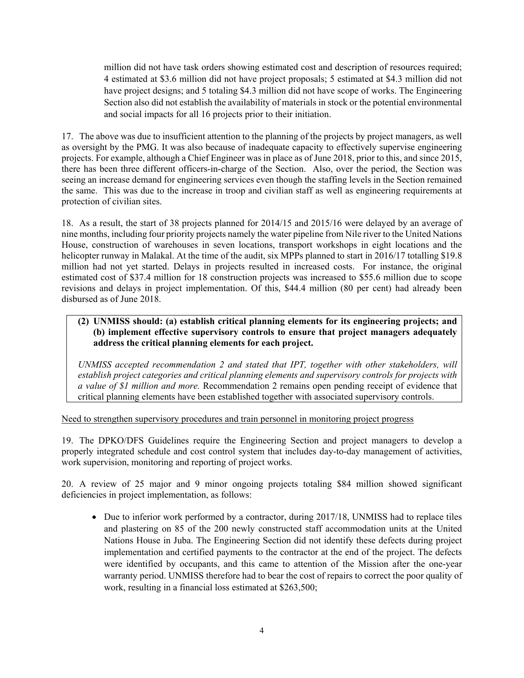million did not have task orders showing estimated cost and description of resources required; 4 estimated at \$3.6 million did not have project proposals; 5 estimated at \$4.3 million did not have project designs; and 5 totaling \$4.3 million did not have scope of works. The Engineering Section also did not establish the availability of materials in stock or the potential environmental and social impacts for all 16 projects prior to their initiation.

17. The above was due to insufficient attention to the planning of the projects by project managers, as well as oversight by the PMG. It was also because of inadequate capacity to effectively supervise engineering projects. For example, although a Chief Engineer was in place as of June 2018, prior to this, and since 2015, there has been three different officers-in-charge of the Section. Also, over the period, the Section was seeing an increase demand for engineering services even though the staffing levels in the Section remained the same. This was due to the increase in troop and civilian staff as well as engineering requirements at protection of civilian sites.

18. As a result, the start of 38 projects planned for 2014/15 and 2015/16 were delayed by an average of nine months, including four priority projects namely the water pipeline from Nile river to the United Nations House, construction of warehouses in seven locations, transport workshops in eight locations and the helicopter runway in Malakal. At the time of the audit, six MPPs planned to start in 2016/17 totalling \$19.8 million had not yet started. Delays in projects resulted in increased costs. For instance, the original estimated cost of \$37.4 million for 18 construction projects was increased to \$55.6 million due to scope revisions and delays in project implementation. Of this, \$44.4 million (80 per cent) had already been disbursed as of June 2018.

#### **(2) UNMISS should: (a) establish critical planning elements for its engineering projects; and (b) implement effective supervisory controls to ensure that project managers adequately address the critical planning elements for each project.**

*UNMISS accepted recommendation 2 and stated that IPT, together with other stakeholders, will establish project categories and critical planning elements and supervisory controls for projects with a value of \$1 million and more.* Recommendation 2 remains open pending receipt of evidence that critical planning elements have been established together with associated supervisory controls.

Need to strengthen supervisory procedures and train personnel in monitoring project progress

19. The DPKO/DFS Guidelines require the Engineering Section and project managers to develop a properly integrated schedule and cost control system that includes day-to-day management of activities, work supervision, monitoring and reporting of project works.

20. A review of 25 major and 9 minor ongoing projects totaling \$84 million showed significant deficiencies in project implementation, as follows:

• Due to inferior work performed by a contractor, during 2017/18, UNMISS had to replace tiles and plastering on 85 of the 200 newly constructed staff accommodation units at the United Nations House in Juba. The Engineering Section did not identify these defects during project implementation and certified payments to the contractor at the end of the project. The defects were identified by occupants, and this came to attention of the Mission after the one-year warranty period. UNMISS therefore had to bear the cost of repairs to correct the poor quality of work, resulting in a financial loss estimated at \$263,500;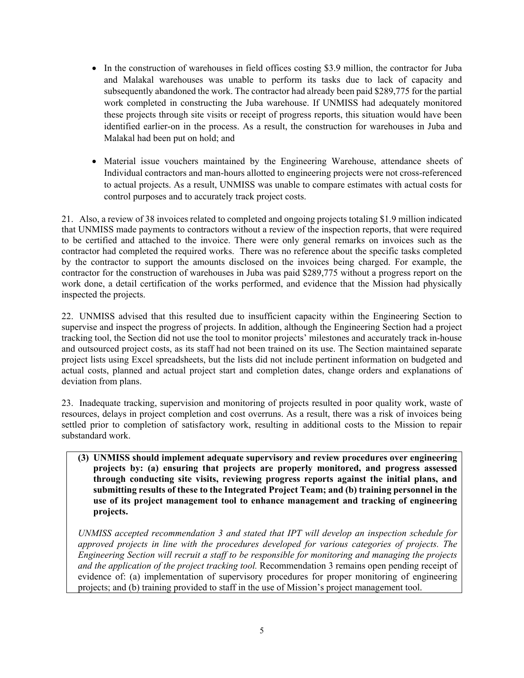- In the construction of warehouses in field offices costing \$3.9 million, the contractor for Juba and Malakal warehouses was unable to perform its tasks due to lack of capacity and subsequently abandoned the work. The contractor had already been paid \$289,775 for the partial work completed in constructing the Juba warehouse. If UNMISS had adequately monitored these projects through site visits or receipt of progress reports, this situation would have been identified earlier-on in the process. As a result, the construction for warehouses in Juba and Malakal had been put on hold; and
- Material issue vouchers maintained by the Engineering Warehouse, attendance sheets of Individual contractors and man-hours allotted to engineering projects were not cross-referenced to actual projects. As a result, UNMISS was unable to compare estimates with actual costs for control purposes and to accurately track project costs.

21. Also, a review of 38 invoices related to completed and ongoing projects totaling \$1.9 million indicated that UNMISS made payments to contractors without a review of the inspection reports, that were required to be certified and attached to the invoice. There were only general remarks on invoices such as the contractor had completed the required works. There was no reference about the specific tasks completed by the contractor to support the amounts disclosed on the invoices being charged. For example, the contractor for the construction of warehouses in Juba was paid \$289,775 without a progress report on the work done, a detail certification of the works performed, and evidence that the Mission had physically inspected the projects.

22. UNMISS advised that this resulted due to insufficient capacity within the Engineering Section to supervise and inspect the progress of projects. In addition, although the Engineering Section had a project tracking tool, the Section did not use the tool to monitor projects' milestones and accurately track in-house and outsourced project costs, as its staff had not been trained on its use. The Section maintained separate project lists using Excel spreadsheets, but the lists did not include pertinent information on budgeted and actual costs, planned and actual project start and completion dates, change orders and explanations of deviation from plans.

23. Inadequate tracking, supervision and monitoring of projects resulted in poor quality work, waste of resources, delays in project completion and cost overruns. As a result, there was a risk of invoices being settled prior to completion of satisfactory work, resulting in additional costs to the Mission to repair substandard work.

**(3) UNMISS should implement adequate supervisory and review procedures over engineering projects by: (a) ensuring that projects are properly monitored, and progress assessed through conducting site visits, reviewing progress reports against the initial plans, and submitting results of these to the Integrated Project Team; and (b) training personnel in the use of its project management tool to enhance management and tracking of engineering projects.** 

*UNMISS accepted recommendation 3 and stated that IPT will develop an inspection schedule for approved projects in line with the procedures developed for various categories of projects. The Engineering Section will recruit a staff to be responsible for monitoring and managing the projects and the application of the project tracking tool.* Recommendation 3 remains open pending receipt of evidence of: (a) implementation of supervisory procedures for proper monitoring of engineering projects; and (b) training provided to staff in the use of Mission's project management tool.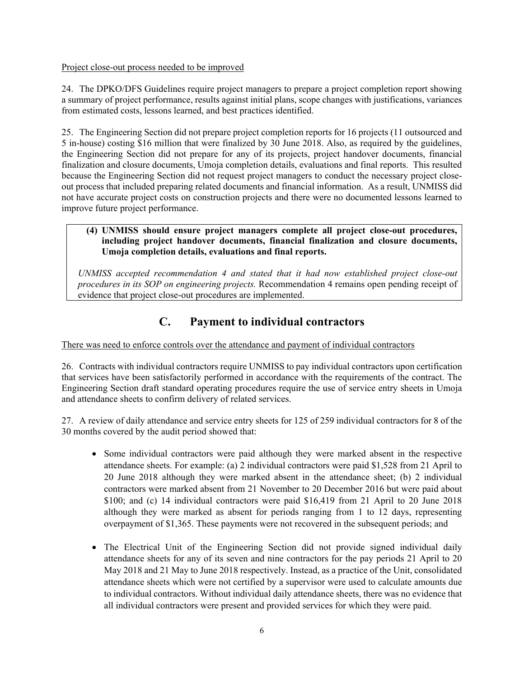#### Project close-out process needed to be improved

24. The DPKO/DFS Guidelines require project managers to prepare a project completion report showing a summary of project performance, results against initial plans, scope changes with justifications, variances from estimated costs, lessons learned, and best practices identified.

25. The Engineering Section did not prepare project completion reports for 16 projects (11 outsourced and 5 in-house) costing \$16 million that were finalized by 30 June 2018. Also, as required by the guidelines, the Engineering Section did not prepare for any of its projects, project handover documents, financial finalization and closure documents, Umoja completion details, evaluations and final reports. This resulted because the Engineering Section did not request project managers to conduct the necessary project closeout process that included preparing related documents and financial information. As a result, UNMISS did not have accurate project costs on construction projects and there were no documented lessons learned to improve future project performance.

#### **(4) UNMISS should ensure project managers complete all project close-out procedures, including project handover documents, financial finalization and closure documents, Umoja completion details, evaluations and final reports.**

*UNMISS accepted recommendation 4 and stated that it had now established project close-out procedures in its SOP on engineering projects.* Recommendation 4 remains open pending receipt of evidence that project close-out procedures are implemented.

## **C. Payment to individual contractors**

There was need to enforce controls over the attendance and payment of individual contractors

26. Contracts with individual contractors require UNMISS to pay individual contractors upon certification that services have been satisfactorily performed in accordance with the requirements of the contract. The Engineering Section draft standard operating procedures require the use of service entry sheets in Umoja and attendance sheets to confirm delivery of related services.

27. A review of daily attendance and service entry sheets for 125 of 259 individual contractors for 8 of the 30 months covered by the audit period showed that:

- Some individual contractors were paid although they were marked absent in the respective attendance sheets. For example: (a) 2 individual contractors were paid \$1,528 from 21 April to 20 June 2018 although they were marked absent in the attendance sheet; (b) 2 individual contractors were marked absent from 21 November to 20 December 2016 but were paid about \$100; and (c) 14 individual contractors were paid \$16,419 from 21 April to 20 June 2018 although they were marked as absent for periods ranging from 1 to 12 days, representing overpayment of \$1,365. These payments were not recovered in the subsequent periods; and
- The Electrical Unit of the Engineering Section did not provide signed individual daily attendance sheets for any of its seven and nine contractors for the pay periods 21 April to 20 May 2018 and 21 May to June 2018 respectively. Instead, as a practice of the Unit, consolidated attendance sheets which were not certified by a supervisor were used to calculate amounts due to individual contractors. Without individual daily attendance sheets, there was no evidence that all individual contractors were present and provided services for which they were paid.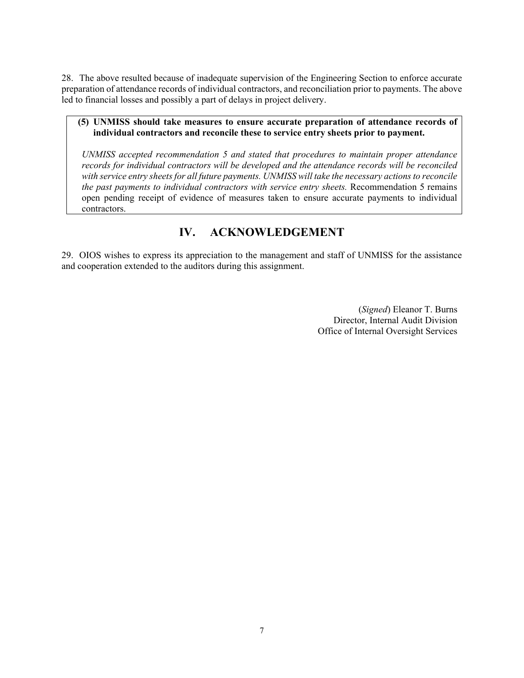28. The above resulted because of inadequate supervision of the Engineering Section to enforce accurate preparation of attendance records of individual contractors, and reconciliation prior to payments. The above led to financial losses and possibly a part of delays in project delivery.

#### **(5) UNMISS should take measures to ensure accurate preparation of attendance records of individual contractors and reconcile these to service entry sheets prior to payment.**

*UNMISS accepted recommendation 5 and stated that procedures to maintain proper attendance records for individual contractors will be developed and the attendance records will be reconciled with service entry sheets for all future payments. UNMISS will take the necessary actions to reconcile the past payments to individual contractors with service entry sheets.* Recommendation 5 remains open pending receipt of evidence of measures taken to ensure accurate payments to individual contractors.

## **IV. ACKNOWLEDGEMENT**

29. OIOS wishes to express its appreciation to the management and staff of UNMISS for the assistance and cooperation extended to the auditors during this assignment.

> (*Signed*) Eleanor T. Burns Director, Internal Audit Division Office of Internal Oversight Services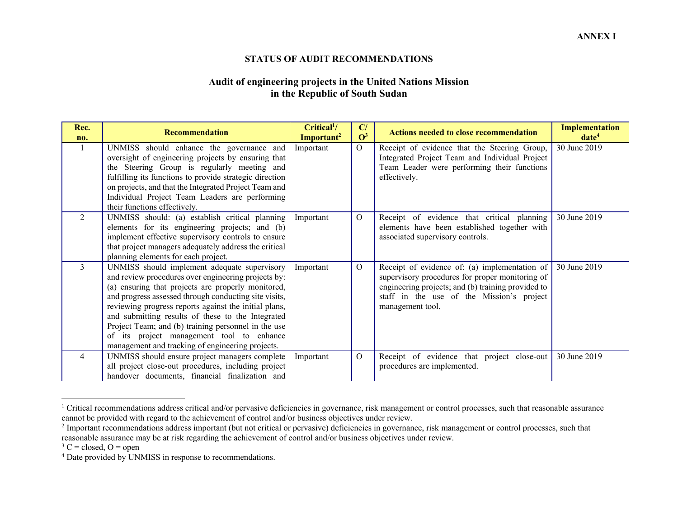#### **STATUS OF AUDIT RECOMMENDATIONS**

#### **Audit of engineering projects in the United Nations Mission in the Republic of South Sudan**

| Rec.<br>no.    | <b>Recommendation</b>                                                                                                                                                                                                                                                                                                                                                                                                                                                                    | Critical <sup>1</sup> /<br>Important <sup>2</sup> | C/<br>$\mathbf{O}^3$ | <b>Actions needed to close recommendation</b>                                                                                                                                                                           | <b>Implementation</b><br>date <sup>4</sup> |
|----------------|------------------------------------------------------------------------------------------------------------------------------------------------------------------------------------------------------------------------------------------------------------------------------------------------------------------------------------------------------------------------------------------------------------------------------------------------------------------------------------------|---------------------------------------------------|----------------------|-------------------------------------------------------------------------------------------------------------------------------------------------------------------------------------------------------------------------|--------------------------------------------|
| -1             | UNMISS should enhance the governance and<br>oversight of engineering projects by ensuring that<br>the Steering Group is regularly meeting and<br>fulfilling its functions to provide strategic direction<br>on projects, and that the Integrated Project Team and<br>Individual Project Team Leaders are performing<br>their functions effectively.                                                                                                                                      | Important                                         | $\Omega$             | Receipt of evidence that the Steering Group,<br>Integrated Project Team and Individual Project<br>Team Leader were performing their functions<br>effectively.                                                           | 30 June 2019                               |
| $\overline{2}$ | UNMISS should: (a) establish critical planning<br>elements for its engineering projects; and (b)<br>implement effective supervisory controls to ensure<br>that project managers adequately address the critical<br>planning elements for each project.                                                                                                                                                                                                                                   | Important                                         | $\overline{O}$       | Receipt of evidence that critical planning<br>elements have been established together with<br>associated supervisory controls.                                                                                          | 30 June 2019                               |
| $\overline{3}$ | UNMISS should implement adequate supervisory<br>and review procedures over engineering projects by:<br>(a) ensuring that projects are properly monitored,<br>and progress assessed through conducting site visits,<br>reviewing progress reports against the initial plans,<br>and submitting results of these to the Integrated<br>Project Team; and (b) training personnel in the use<br>of its project management tool to enhance<br>management and tracking of engineering projects. | Important                                         | $\Omega$             | Receipt of evidence of: (a) implementation of<br>supervisory procedures for proper monitoring of<br>engineering projects; and (b) training provided to<br>staff in the use of the Mission's project<br>management tool. | 30 June 2019                               |
| $\overline{4}$ | UNMISS should ensure project managers complete<br>all project close-out procedures, including project<br>handover documents, financial finalization and                                                                                                                                                                                                                                                                                                                                  | Important                                         | $\Omega$             | Receipt of evidence that project close-out<br>procedures are implemented.                                                                                                                                               | 30 June 2019                               |

<sup>&</sup>lt;sup>1</sup> Critical recommendations address critical and/or pervasive deficiencies in governance, risk management or control processes, such that reasonable assurance cannot be provided with regard to the achievement of control and/or business objectives under review.

 $3 \text{ C} = \text{closed}, \text{ O} = \text{open}$ 

<sup>&</sup>lt;sup>2</sup> Important recommendations address important (but not critical or pervasive) deficiencies in governance, risk management or control processes, such that reasonable assurance may be at risk regarding the achievement of control and/or business objectives under review.

<sup>4</sup> Date provided by UNMISS in response to recommendations.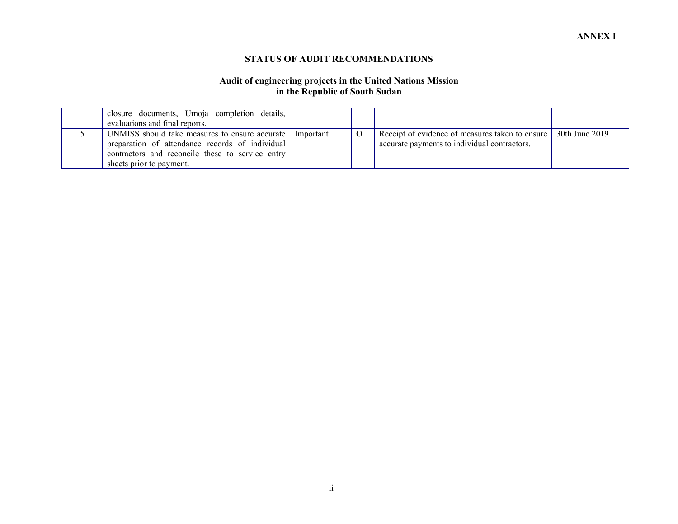#### **STATUS OF AUDIT RECOMMENDATIONS**

#### **Audit of engineering projects in the United Nations Mission in the Republic of South Sudan**

| closure documents, Umoja completion details,<br>evaluations and final reports.                                                                                                      |           |                                                                                                 |                |
|-------------------------------------------------------------------------------------------------------------------------------------------------------------------------------------|-----------|-------------------------------------------------------------------------------------------------|----------------|
| UNMISS should take measures to ensure accurate I<br>preparation of attendance records of individual<br>contractors and reconcile these to service entry<br>sheets prior to payment. | Important | Receipt of evidence of measures taken to ensure<br>accurate payments to individual contractors. | 30th June 2019 |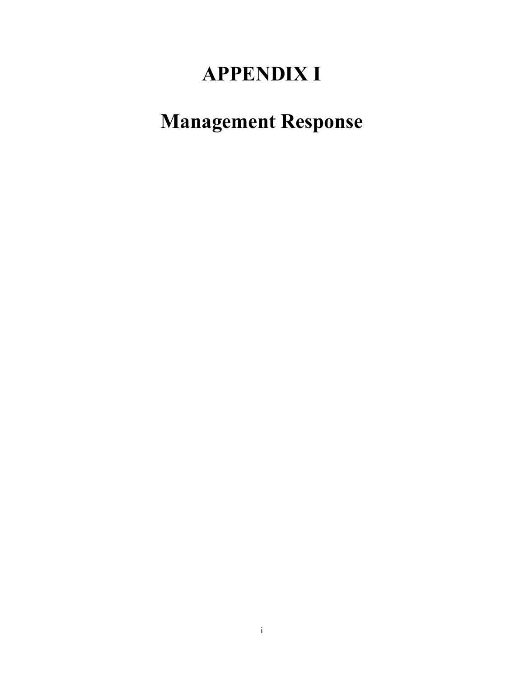# **APPENDIX I**

# **Management Response**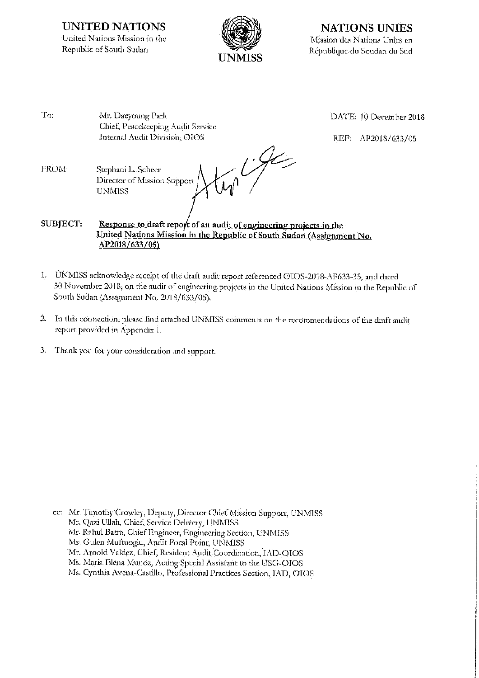**UNITED NATIONS** United Nations Mission in the Republic of South Sudan



**NATIONS UNIES** Mission des Nations Unies en République du Soudan du Sud

 $Tor$ Mr. Daeyoung Park Chief, Peacekeeping Audit Service Internal Audit Division, OIOS

DATE: 10 December 2018

REF: AP2018/633/05

 $\frac{1}{\sqrt{2}}$ FROM: Stephani L. Scheer Director of Mission Support **UNMISS** 

SUBJECT: Response to draft report of an audit of engineering projects in the United Nations Mission in the Republic of South Sudan (Assignment No. AP2018/633/05)

- 1. UNMISS acknowledge receipt of the draft audit report referenced OIOS-2018-AP633-35, and dated 30 November 2018, on the audit of engineering projects in the United Nations Mission in the Republic of South Sudan (Assignment No. 2018/633/05).
- $\overline{2}$ In this connection, please find attached UNMISS comments on the recommendations of the draft audit report provided in Appendix I.
- $\cdot$ 3. Thank you for your consideration and support.

cc: Mr. Timothy Crowley, Deputy, Director Chief Mission Support, UNMISS Mr. Qazi Ullah, Chief, Service Delivery, UNMISS Mr. Rahul Batra, Chief Engineer, Engineering Section, UNMISS Ms. Gulen Muftuoglu, Audit Focal Point, UNMISS Mr. Arnold Valdez, Chief, Resident Audit Coordination, IAD-OIOS Ms. Maria Elena Munoz, Acting Special Assistant to the USG-OIOS Ms. Cynthia Avena-Castillo, Professional Practices Section, IAD, OIOS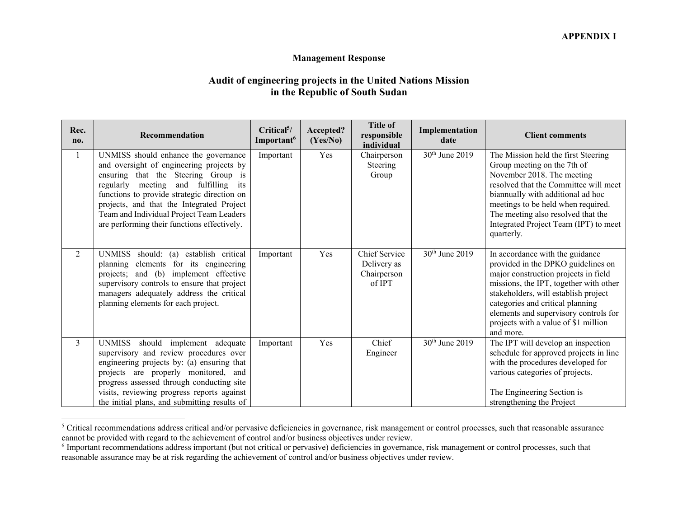#### **Management Response**

### **Audit of engineering projects in the United Nations Mission in the Republic of South Sudan**

| Rec.<br>no.    | <b>Recommendation</b>                                                                                                                                                                                                                                                                                                                                     | Critical <sup>5</sup> /<br>Important <sup>6</sup> | Accepted?<br>(Yes/No) | <b>Title of</b><br>responsible<br>individual                 | Implementation<br>date     | <b>Client comments</b>                                                                                                                                                                                                                                                                                                            |
|----------------|-----------------------------------------------------------------------------------------------------------------------------------------------------------------------------------------------------------------------------------------------------------------------------------------------------------------------------------------------------------|---------------------------------------------------|-----------------------|--------------------------------------------------------------|----------------------------|-----------------------------------------------------------------------------------------------------------------------------------------------------------------------------------------------------------------------------------------------------------------------------------------------------------------------------------|
| 1              | UNMISS should enhance the governance<br>and oversight of engineering projects by<br>ensuring that the Steering Group is<br>regularly meeting and fulfilling<br>its<br>functions to provide strategic direction on<br>projects, and that the Integrated Project<br>Team and Individual Project Team Leaders<br>are performing their functions effectively. | Important                                         | Yes                   | Chairperson<br>Steering<br>Group                             | 30th June 2019             | The Mission held the first Steering<br>Group meeting on the 7th of<br>November 2018. The meeting<br>resolved that the Committee will meet<br>biannually with additional ad hoc<br>meetings to be held when required.<br>The meeting also resolved that the<br>Integrated Project Team (IPT) to meet<br>quarterly.                 |
| $\overline{2}$ | UNMISS should: (a) establish critical<br>planning elements for its engineering<br>projects; and (b) implement effective<br>supervisory controls to ensure that project<br>managers adequately address the critical<br>planning elements for each project.                                                                                                 | Important                                         | Yes                   | <b>Chief Service</b><br>Delivery as<br>Chairperson<br>of IPT | 30th June 2019             | In accordance with the guidance<br>provided in the DPKO guidelines on<br>major construction projects in field<br>missions, the IPT, together with other<br>stakeholders, will establish project<br>categories and critical planning<br>elements and supervisory controls for<br>projects with a value of \$1 million<br>and more. |
| $\overline{3}$ | UNMISS should<br>implement adequate<br>supervisory and review procedures over<br>engineering projects by: (a) ensuring that<br>projects are properly monitored, and<br>progress assessed through conducting site<br>visits, reviewing progress reports against<br>the initial plans, and submitting results of                                            | Important                                         | Yes                   | Chief<br>Engineer                                            | 30 <sup>th</sup> June 2019 | The IPT will develop an inspection<br>schedule for approved projects in line<br>with the procedures developed for<br>various categories of projects.<br>The Engineering Section is<br>strengthening the Project                                                                                                                   |

<sup>&</sup>lt;sup>5</sup> Critical recommendations address critical and/or pervasive deficiencies in governance, risk management or control processes, such that reasonable assurance cannot be provided with regard to the achievement of control and/or business objectives under review.

<sup>&</sup>lt;sup>6</sup> Important recommendations address important (but not critical or pervasive) deficiencies in governance, risk management or control processes, such that reasonable assurance may be at risk regarding the achievement of control and/or business objectives under review.